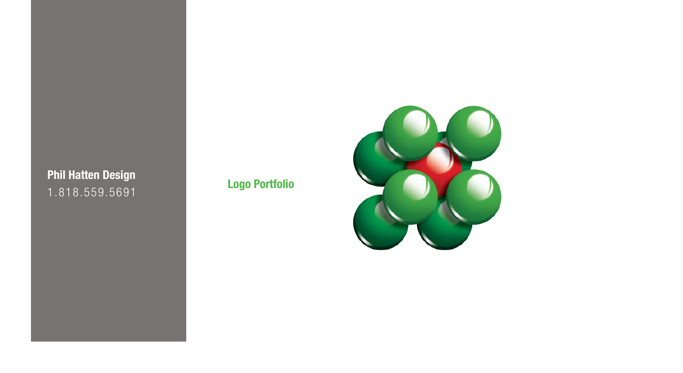**Logo Portfolio**<br>1.818.559.5691

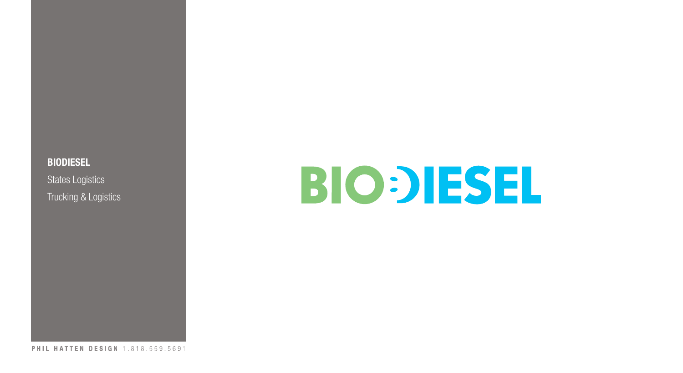**BIODIESEL** States Logistics Trucking & Logistics

# **BIO: JESEL**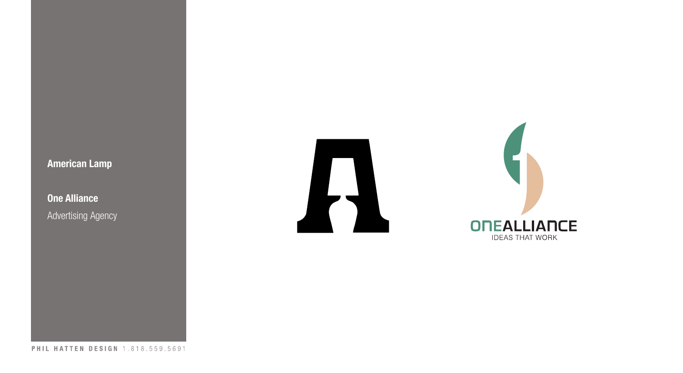## **American Lamp**

**One Alliance Advertising Agency** 





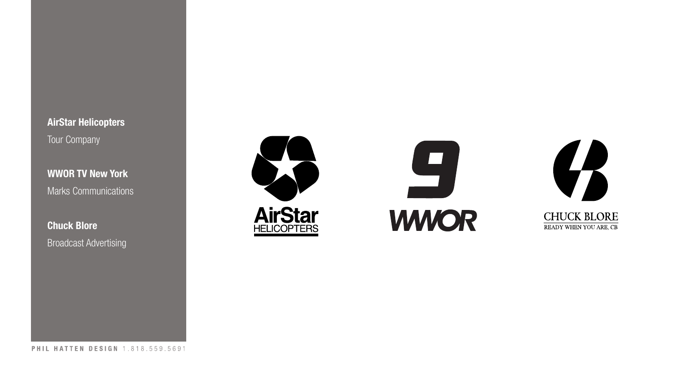**AirStar Helicopters** Tour Company

**WWOR TV New York** Marks Communications

**Chuck Blore** Broadcast Advertising





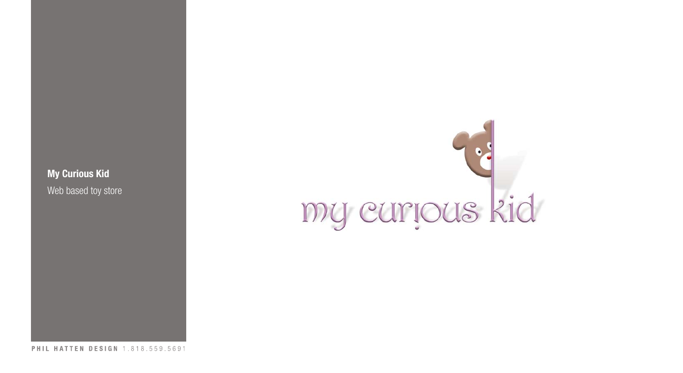**My Curious Kid** Web based toy store

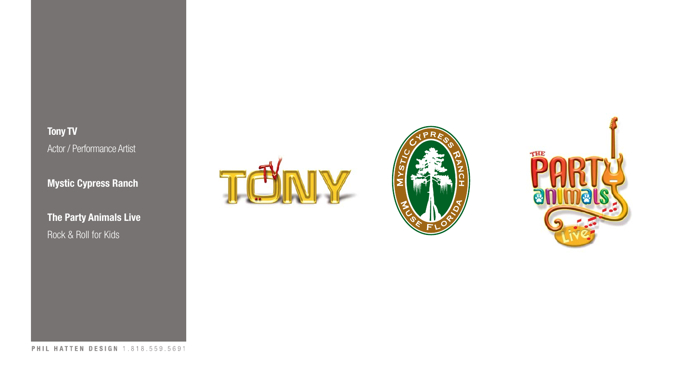**Tony TV** Actor / Performance Artist

**Mystic Cypress Ranch**

**The Party Animals Live** Rock & Roll for Kids





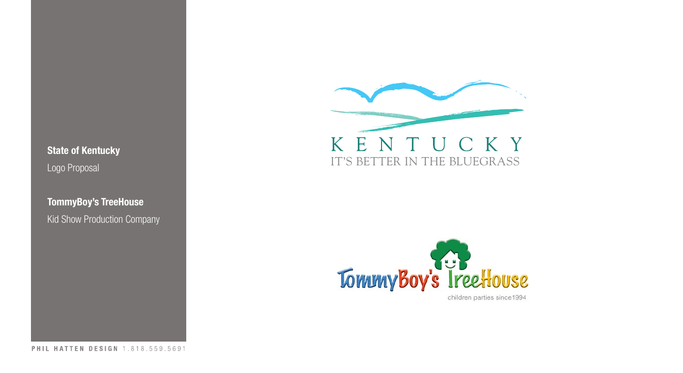**State of Kentucky** Logo Proposal

**TommyBoy's TreeHouse** Kid Show Production Company





children parties since1994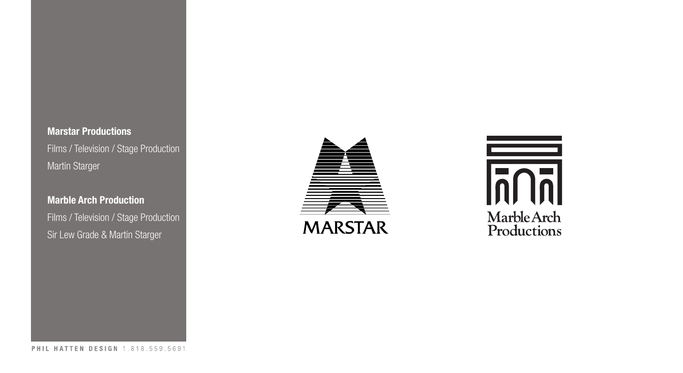#### **Marstar Productions**

Films / Television / Stage Production Martin Starger

#### **Marble Arch Production**

Films / Television / Stage Production Sir Lew Grade & Martin Starger



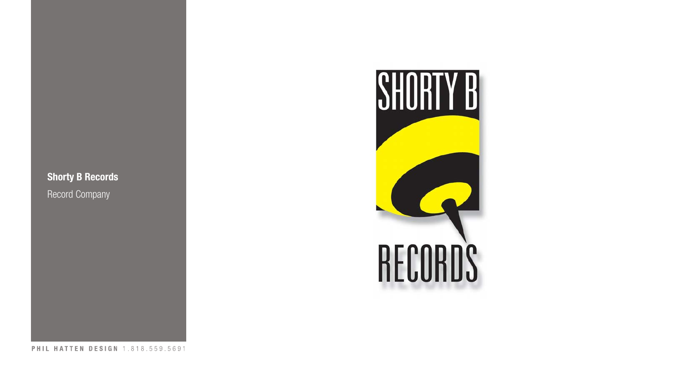### **Shorty B Records**

Record Company

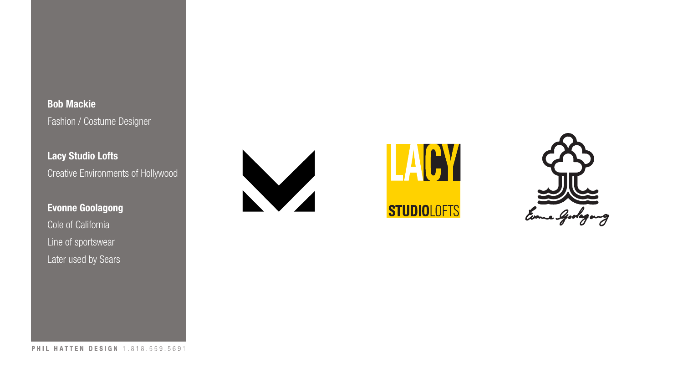**Bob Mackie** Fashion / Costume Designer

**Lacy Studio Lofts** Creative Environments of Hollywood

# **Evonne Goolagong** Cole of California Line of sportswear Later used by Sears





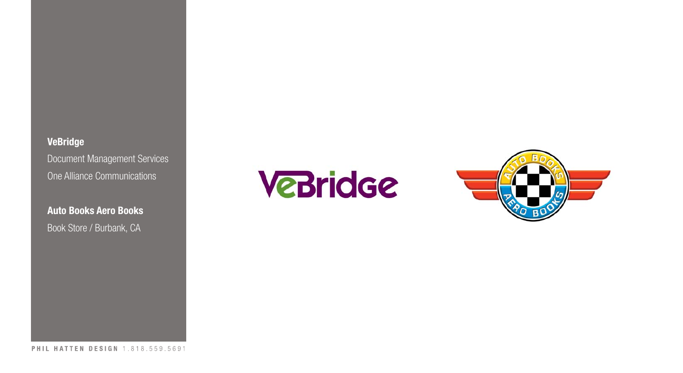**VeBridge** Document Management Services One Alliance Communications

**Auto Books Aero Books** Book Store / Burbank, CA

**VeBridge** 

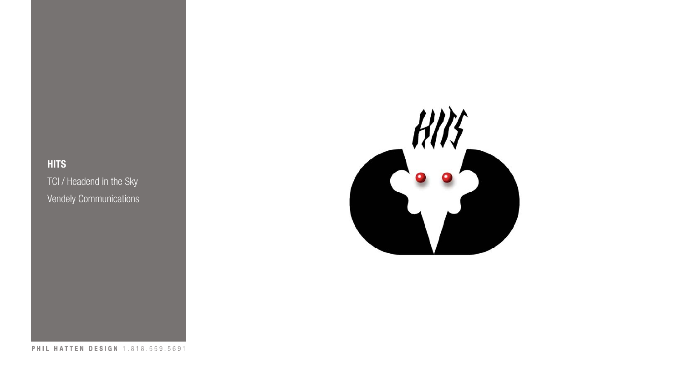# **HITS** TCI / Headend in the Sky Vendely Communications

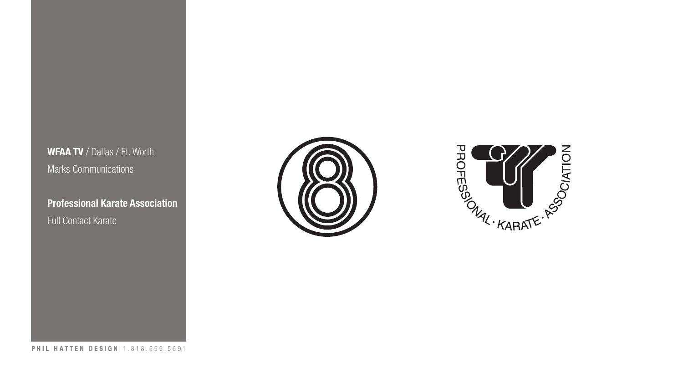**WFAA TV** / Dallas / Ft. Worth Marks Communications

**Professional Karate Association** Full Contact Karate



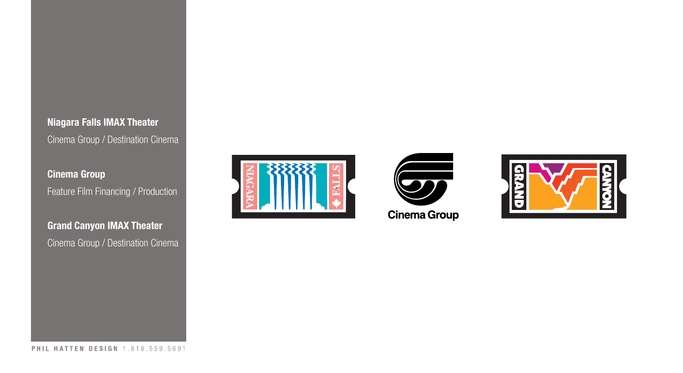

**Cinema Group** Feature Film Financing / Production

**Grand Canyon IMAX Theater** Cinema Group / Destination Cinema





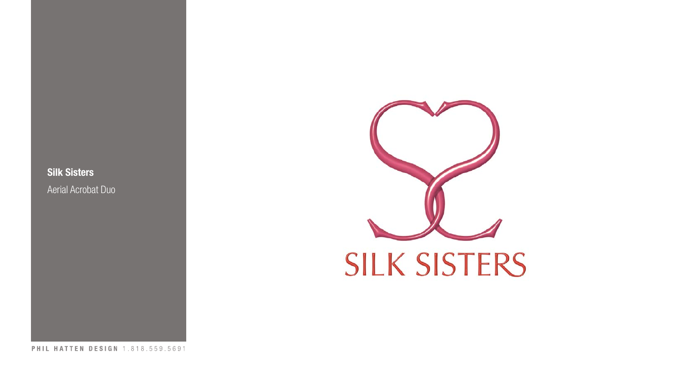**Silk Sisters** Aerial Acrobat Duo

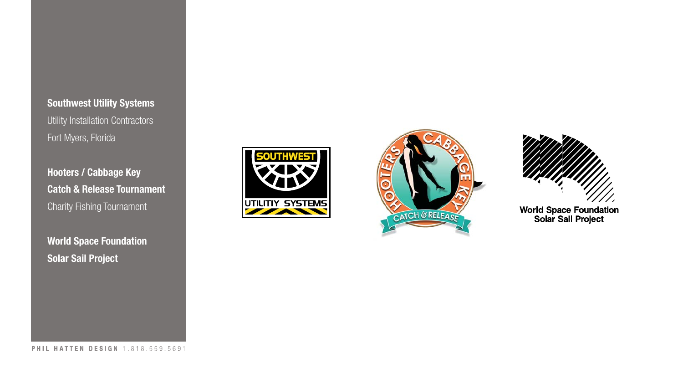**Southwest Utility Systems** Utility Installation Contractors Fort Myers, Florida

**Hooters / Cabbage Key Catch & Release Tournament** Charity Fishing Tournament

**World Space Foundation Solar Sail Project**







World Space Foundation<br>Solar Sail Project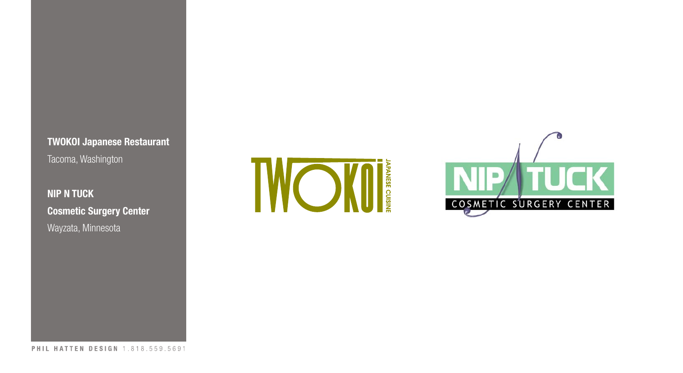**TWOKOI Japanese Restaurant** Tacoma, Washington

**NIP N TUCK Cosmetic Surgery Center** Wayzata, Minnesota



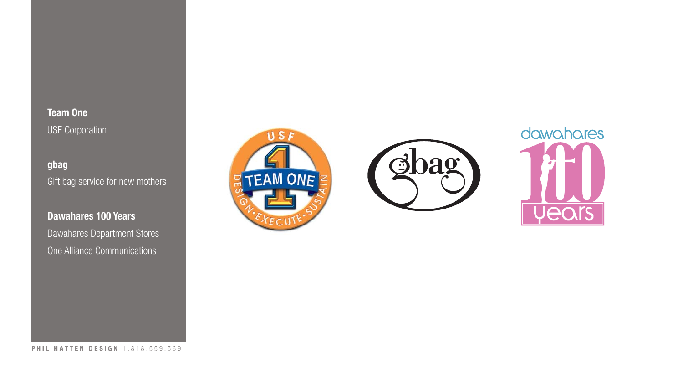**Team One** USF Corporation

**gbag** Gift bag service for new mothers

**Dawahares 100 Years** Dawahares Department Stores One Alliance Communications





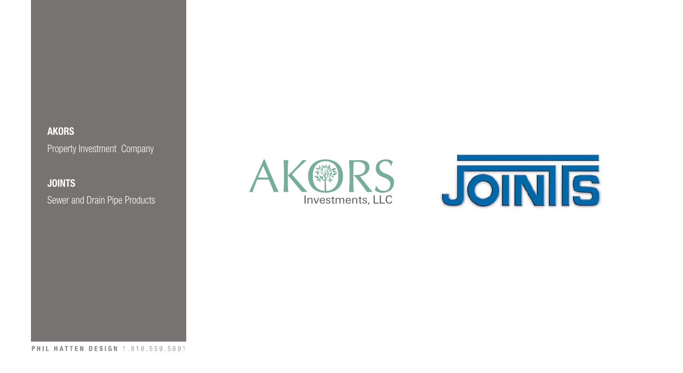# **AKORS** Property Investment Company

# **JOINTS**